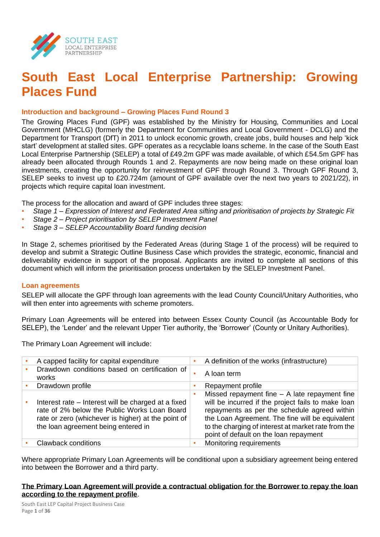

# **South East Local Enterprise Partnership: Growing Places Fund**

#### **Introduction and background – Growing Places Fund Round 3**

The Growing Places Fund (GPF) was established by the Ministry for Housing, Communities and Local Government (MHCLG) (formerly the Department for Communities and Local Government - DCLG) and the Department for Transport (DfT) in 2011 to unlock economic growth, create jobs, build houses and help 'kick start' development at stalled sites. GPF operates as a recyclable loans scheme. In the case of the South East Local Enterprise Partnership (SELEP) a total of £49.2m GPF was made available, of which £54.5m GPF has already been allocated through Rounds 1 and 2. Repayments are now being made on these original loan investments, creating the opportunity for reinvestment of GPF through Round 3. Through GPF Round 3, SELEP seeks to invest up to £20.724m (amount of GPF available over the next two years to 2021/22), in projects which require capital loan investment.

The process for the allocation and award of GPF includes three stages:

- *Stage 1 – Expression of Interest and Federated Area sifting and prioritisation of projects by Strategic Fit*
- *Stage 2 – Project prioritisation by SELEP Investment Panel*
- *Stage 3 – SELEP Accountability Board funding decision*

In Stage 2, schemes prioritised by the Federated Areas (during Stage 1 of the process) will be required to develop and submit a Strategic Outline Business Case which provides the strategic, economic, financial and deliverability evidence in support of the proposal. Applicants are invited to complete all sections of this document which will inform the prioritisation process undertaken by the SELEP Investment Panel.

#### **Loan agreements**

SELEP will allocate the GPF through loan agreements with the lead County Council/Unitary Authorities, who will then enter into agreements with scheme promoters.

Primary Loan Agreements will be entered into between Essex County Council (as Accountable Body for SELEP), the 'Lender' and the relevant Upper Tier authority, the 'Borrower' (County or Unitary Authorities).

The Primary Loan Agreement will include:

| A capped facility for capital expenditure                                                                                                                                                        |   | A definition of the works (infrastructure)                                                                                                                                                                                                                                                                |
|--------------------------------------------------------------------------------------------------------------------------------------------------------------------------------------------------|---|-----------------------------------------------------------------------------------------------------------------------------------------------------------------------------------------------------------------------------------------------------------------------------------------------------------|
| Drawdown conditions based on certification of<br>works                                                                                                                                           | ٠ | A loan term                                                                                                                                                                                                                                                                                               |
| Drawdown profile                                                                                                                                                                                 |   | Repayment profile                                                                                                                                                                                                                                                                                         |
| Interest rate – Interest will be charged at a fixed<br>rate of 2% below the Public Works Loan Board<br>rate or zero (whichever is higher) at the point of<br>the loan agreement being entered in |   | Missed repayment fine $-$ A late repayment fine<br>will be incurred if the project fails to make loan<br>repayments as per the schedule agreed within<br>the Loan Agreement. The fine will be equivalent<br>to the charging of interest at market rate from the<br>point of default on the loan repayment |
| Clawback conditions                                                                                                                                                                              |   | Monitoring requirements                                                                                                                                                                                                                                                                                   |

Where appropriate Primary Loan Agreements will be conditional upon a subsidiary agreement being entered into between the Borrower and a third party.

#### **The Primary Loan Agreement will provide a contractual obligation for the Borrower to repay the loan according to the repayment profile**.

South East LEP Capital Project Business Case Page **1** of **36**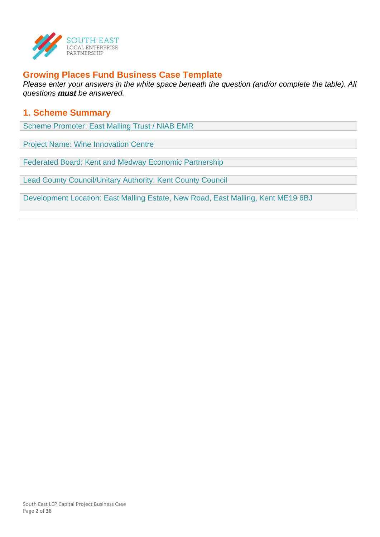

## **Growing Places Fund Business Case Template**

*Please enter your answers in the white space beneath the question (and/or complete the table). All questions must be answered.*

### **1. Scheme Summary**

Scheme Promoter: East Malling Trust / NIAB EMR

Project Name: Wine Innovation Centre

Federated Board: Kent and Medway Economic Partnership

Lead County Council/Unitary Authority: Kent County Council

Development Location: East Malling Estate, New Road, East Malling, Kent ME19 6BJ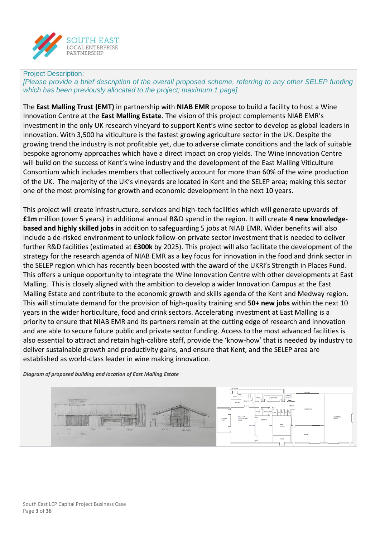

#### Project Description:

*[Please provide a brief description of the overall proposed scheme, referring to any other SELEP funding which has been previously allocated to the project; maximum 1 page]*

The **East Malling Trust (EMT)** in partnership with **NIAB EMR** propose to build a facility to host a Wine Innovation Centre at the **East Malling Estate**. The vision of this project complements NIAB EMR's investment in the only UK research vineyard to support Kent's wine sector to develop as global leaders in innovation. With 3,500 ha viticulture is the fastest growing agriculture sector in the UK. Despite the growing trend the industry is not profitable yet, due to adverse climate conditions and the lack of suitable bespoke agronomy approaches which have a direct impact on crop yields. The Wine Innovation Centre will build on the success of Kent's wine industry and the development of the East Malling Viticulture Consortium which includes members that collectively account for more than 60% of the wine production of the UK. The majority of the UK's vineyards are located in Kent and the SELEP area; making this sector one of the most promising for growth and economic development in the next 10 years.

This project will create infrastructure, services and high-tech facilities which will generate upwards of **£1m** million (over 5 years) in additional annual R&D spend in the region. It will create **4 new knowledgebased and highly skilled jobs** in addition to safeguarding 5 jobs at NIAB EMR. Wider benefits will also include a de-risked environment to unlock follow-on private sector investment that is needed to deliver further R&D facilities (estimated at **£300k** by 2025). This project will also facilitate the development of the strategy for the research agenda of NIAB EMR as a key focus for innovation in the food and drink sector in the SELEP region which has recently been boosted with the award of the UKRI's Strength in Places Fund. This offers a unique opportunity to integrate the Wine Innovation Centre with other developments at East Malling. This is closely aligned with the ambition to develop a wider Innovation Campus at the East Malling Estate and contribute to the economic growth and skills agenda of the Kent and Medway region. This will stimulate demand for the provision of high-quality training and **50+ new jobs** within the next 10 years in the wider horticulture, food and drink sectors. Accelerating investment at East Malling is a priority to ensure that NIAB EMR and its partners remain at the cutting edge of research and innovation and are able to secure future public and private sector funding. Access to the most advanced facilities is also essential to attract and retain high-calibre staff, provide the 'know-how' that is needed by industry to deliver sustainable growth and productivity gains, and ensure that Kent, and the SELEP area are established as world-class leader in wine making innovation.

*Diagram of proposed building and location of East Malling Estate*

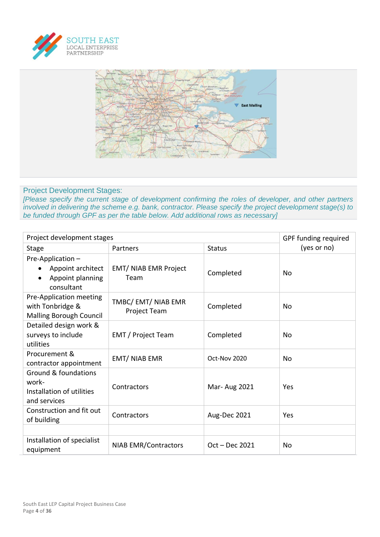



#### Project Development Stages:

*[Please specify the current stage of development confirming the roles of developer, and other partners involved in delivering the scheme e.g. bank, contractor. Please specify the project development stage(s) to be funded through GPF as per the table below. Add additional rows as necessary]*

| Project development stages                                                            | GPF funding required                 |                  |             |
|---------------------------------------------------------------------------------------|--------------------------------------|------------------|-------------|
| Stage                                                                                 | Partners                             | <b>Status</b>    | (yes or no) |
| Pre-Application-<br>Appoint architect<br>Appoint planning<br>consultant               | <b>EMT/ NIAB EMR Project</b><br>Team | Completed        | No          |
| Pre-Application meeting<br>with Tonbridge &<br><b>Malling Borough Council</b>         | TMBC/ EMT/ NIAB EMR<br>Project Team  | Completed        | No          |
| Detailed design work &<br>surveys to include<br>utilities                             | <b>EMT</b> / Project Team            | Completed        | No          |
| Procurement &<br>contractor appointment                                               | <b>EMT/ NIAB EMR</b>                 | Oct-Nov 2020     | No          |
| <b>Ground &amp; foundations</b><br>work-<br>Installation of utilities<br>and services | Contractors                          | Mar-Aug 2021     | Yes         |
| Construction and fit out<br>of building                                               | Contractors                          | Aug-Dec 2021     | Yes         |
|                                                                                       |                                      |                  |             |
| Installation of specialist<br>equipment                                               | <b>NIAB EMR/Contractors</b>          | $Oct - Dec 2021$ | No          |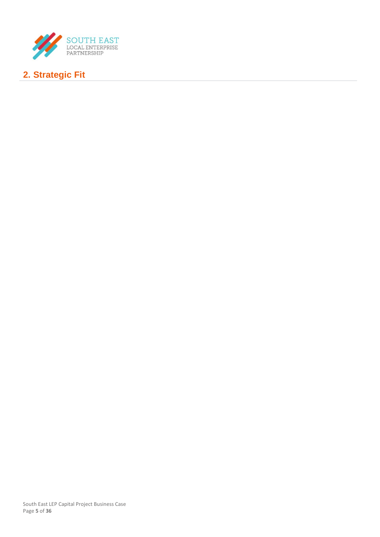

# **2. Strategic Fit**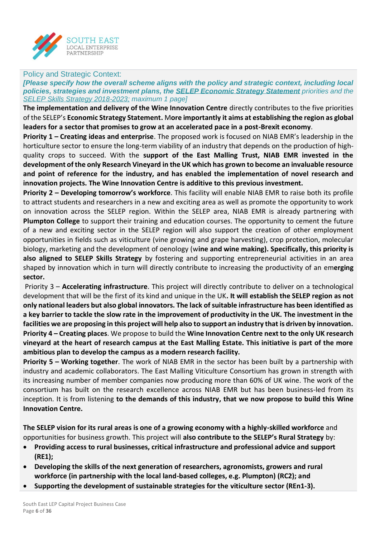

#### Policy and Strategic Context:

*[Please specify how the overall scheme aligns with the policy and strategic context, including local policies, strategies and investment plans, the [SELEP Economic Strategy Statement](https://www.southeastlep.com/app/uploads/2019/03/SELEP_StratEconState_singles.pdf) priorities and the [SELEP Skills Strategy 2018-2023;](https://www.southeastlep.com/app/uploads/2018/09/SELEP-Skills-Strategy-v14-0818-WEB.pdf) maximum 1 page]*

**The implementation and delivery of the Wine Innovation Centre** directly contributes to the five priorities of the SELEP's **Economic Strategy Statement.** M**ore importantly it aims at establishing the region as global leaders for a sector that promises to grow at an accelerated pace in a post-Brexit economy**.

**Priority 1 – Creating ideas and enterprise**. The proposed work is focused on NIAB EMR's leadership in the horticulture sector to ensure the long-term viability of an industry that depends on the production of highquality crops to succeed. With the **support of the East Malling Trust, NIAB EMR invested in the development of the only Research Vineyard in the UK which has grown to become an invaluable resource and point of reference for the industry, and has enabled the implementation of novel research and innovation projects. The Wine Innovation Centre is additive to this previous investment.**

**Priority 2 – Developing tomorrow's workforce**. This facility will enable NIAB EMR to raise both its profile to attract students and researchers in a new and exciting area as well as promote the opportunity to work on innovation across the SELEP region. Within the SELEP area, NIAB EMR is already partnering with **Plumpton College** to support their training and education courses. The opportunity to cement the future of a new and exciting sector in the SELEP region will also support the creation of other employment opportunities in fields such as viticulture (vine growing and grape harvesting), crop protection, molecular biology, marketing and the development of oenology (w**ine and wine making). Specifically, this priority is also aligned to SELEP Skills Strategy** by fostering and supporting entrepreneurial activities in an area shaped by innovation which in turn will directly contribute to increasing the productivity of an em**erging sector.**

Priority 3 – **Accelerating infrastructure**. This project will directly contribute to deliver on a technological development that will be the first of its kind and unique in the UK**. It will establish the SELEP region as not only national leaders but also global innovators. The lack of suitable infrastructure has been identified as a key barrier to tackle the slow rate in the improvement of productivity in the UK. The investment in the facilities we are proposing in this project will help also to support an industry that is driven by innovation. Priority 4 – Creating places**. We propose to build the **Wine Innovation Centre next to the only UK research vineyard at the heart of research campus at the East Malling Estate. This initiative is part of the more ambitious plan to develop the campus as a modern research facility.** 

**Priority 5 – Working together**. The work of NIAB EMR in the sector has been built by a partnership with industry and academic collaborators. The East Malling Viticulture Consortium has grown in strength with its increasing number of member companies now producing more than 60% of UK wine. The work of the consortium has built on the research excellence across NIAB EMR but has been business-led from its inception. It is from listening **to the demands of this industry, that we now propose to build this Wine Innovation Centre.**

**The SELEP vision for its rural areas is one of a growing economy with a highly-skilled workforce** and opportunities for business growth. This project will **also contribute to the SELEP's Rural Strategy** by:

- **Providing access to rural businesses, critical infrastructure and professional advice and support (RE1);**
- **Developing the skills of the next generation of researchers, agronomists, growers and rural workforce (in partnership with the local land-based colleges, e.g. Plumpton) (RC2); and**
- **Supporting the development of sustainable strategies for the viticulture sector (REn1-3).**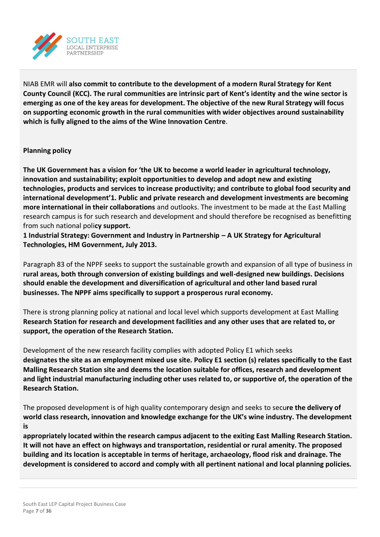

NIAB EMR will **also commit to contribute to the development of a modern Rural Strategy for Kent County Council (KCC). The rural communities are intrinsic part of Kent's identity and the wine sector is emerging as one of the key areas for development. The objective of the new Rural Strategy will focus on supporting economic growth in the rural communities with wider objectives around sustainability which is fully aligned to the aims of the Wine Innovation Centre**.

#### **Planning policy**

**The UK Government has a vision for 'the UK to become a world leader in agricultural technology, innovation and sustainability; exploit opportunities to develop and adopt new and existing technologies, products and services to increase productivity; and contribute to global food security and international development'1. Public and private research and development investments are becoming more international in their collaborations** and outlooks. The investment to be made at the East Malling research campus is for such research and development and should therefore be recognised as benefitting from such national poli**cy support.**

**1 Industrial Strategy: Government and Industry in Partnership – A UK Strategy for Agricultural Technologies, HM Government, July 2013.**

Paragraph 83 of the NPPF seeks to support the sustainable growth and expansion of all type of business in **rural areas, both through conversion of existing buildings and well-designed new buildings. Decisions should enable the development and diversification of agricultural and other land based rural businesses. The NPPF aims specifically to support a prosperous rural economy.**

There is strong planning policy at national and local level which supports development at East Malling **Research Station for research and development facilities and any other uses that are related to, or support, the operation of the Research Station.**

Development of the new research facility complies with adopted Policy E1 which seeks **designates the site as an employment mixed use site. Policy E1 section (s) relates specifically to the East Malling Research Station site and deems the location suitable for offices, research and development and light industrial manufacturing including other uses related to, or supportive of, the operation of the Research Station.**

The proposed development is of high quality contemporary design and seeks to secu**re the delivery of world class research, innovation and knowledge exchange for the UK's wine industry. The development is**

**appropriately located within the research campus adjacent to the exiting East Malling Research Station. It will not have an effect on highways and transportation, residential or rural amenity. The proposed building and its location is acceptable in terms of heritage, archaeology, flood risk and drainage. The development is considered to accord and comply with all pertinent national and local planning policies.**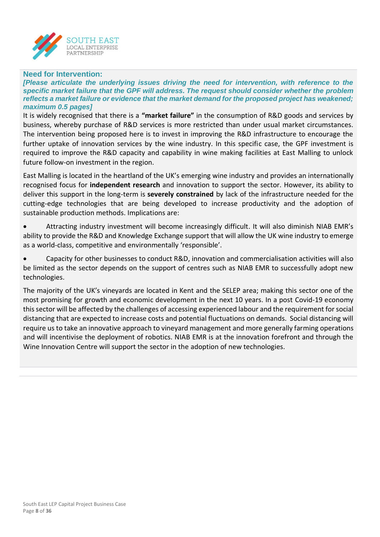

#### **Need for Intervention:**

*[Please articulate the underlying issues driving the need for intervention, with reference to the specific market failure that the GPF will address. The request should consider whether the problem reflects a market failure or evidence that the market demand for the proposed project has weakened; maximum 0.5 pages]*

It is widely recognised that there is a **"market failure"** in the consumption of R&D goods and services by business, whereby purchase of R&D services is more restricted than under usual market circumstances. The intervention being proposed here is to invest in improving the R&D infrastructure to encourage the further uptake of innovation services by the wine industry. In this specific case, the GPF investment is required to improve the R&D capacity and capability in wine making facilities at East Malling to unlock future follow-on investment in the region.

East Malling is located in the heartland of the UK's emerging wine industry and provides an internationally recognised focus for **independent research** and innovation to support the sector. However, its ability to deliver this support in the long-term is **severely constrained** by lack of the infrastructure needed for the cutting-edge technologies that are being developed to increase productivity and the adoption of sustainable production methods. Implications are:

• Attracting industry investment will become increasingly difficult. It will also diminish NIAB EMR's ability to provide the R&D and Knowledge Exchange support that will allow the UK wine industry to emerge as a world-class, competitive and environmentally 'responsible'.

• Capacity for other businesses to conduct R&D, innovation and commercialisation activities will also be limited as the sector depends on the support of centres such as NIAB EMR to successfully adopt new technologies.

The majority of the UK's vineyards are located in Kent and the SELEP area; making this sector one of the most promising for growth and economic development in the next 10 years. In a post Covid-19 economy this sector will be affected by the challenges of accessing experienced labour and the requirement for social distancing that are expected to increase costs and potential fluctuations on demands. Social distancing will require us to take an innovative approach to vineyard management and more generally farming operations and will incentivise the deployment of robotics. NIAB EMR is at the innovation forefront and through the Wine Innovation Centre will support the sector in the adoption of new technologies.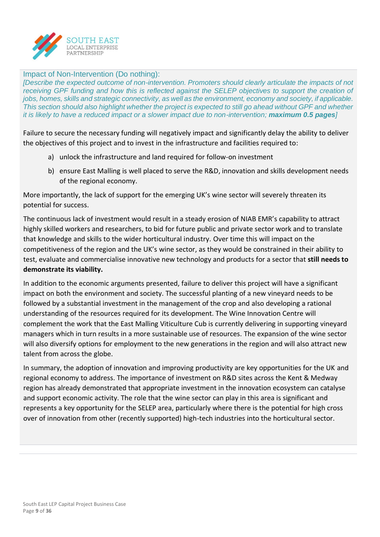

#### Impact of Non-Intervention (Do nothing):

*[Describe the expected outcome of non-intervention. Promoters should clearly articulate the impacts of not receiving GPF funding and how this is reflected against the SELEP objectives to support the creation of jobs, homes, skills and strategic connectivity, as well as the environment, economy and society, if applicable. This section should also highlight whether the project is expected to still go ahead without GPF and whether it is likely to have a reduced impact or a slower impact due to non-intervention; maximum 0.5 pages<i>]* 

Failure to secure the necessary funding will negatively impact and significantly delay the ability to deliver the objectives of this project and to invest in the infrastructure and facilities required to:

- a) unlock the infrastructure and land required for follow-on investment
- b) ensure East Malling is well placed to serve the R&D, innovation and skills development needs of the regional economy.

More importantly, the lack of support for the emerging UK's wine sector will severely threaten its potential for success.

The continuous lack of investment would result in a steady erosion of NIAB EMR's capability to attract highly skilled workers and researchers, to bid for future public and private sector work and to translate that knowledge and skills to the wider horticultural industry. Over time this will impact on the competitiveness of the region and the UK's wine sector, as they would be constrained in their ability to test, evaluate and commercialise innovative new technology and products for a sector that **still needs to demonstrate its viability.** 

In addition to the economic arguments presented, failure to deliver this project will have a significant impact on both the environment and society. The successful planting of a new vineyard needs to be followed by a substantial investment in the management of the crop and also developing a rational understanding of the resources required for its development. The Wine Innovation Centre will complement the work that the East Malling Viticulture Cub is currently delivering in supporting vineyard managers which in turn results in a more sustainable use of resources. The expansion of the wine sector will also diversify options for employment to the new generations in the region and will also attract new talent from across the globe.

In summary, the adoption of innovation and improving productivity are key opportunities for the UK and regional economy to address. The importance of investment on R&D sites across the Kent & Medway region has already demonstrated that appropriate investment in the innovation ecosystem can catalyse and support economic activity. The role that the wine sector can play in this area is significant and represents a key opportunity for the SELEP area, particularly where there is the potential for high cross over of innovation from other (recently supported) high-tech industries into the horticultural sector.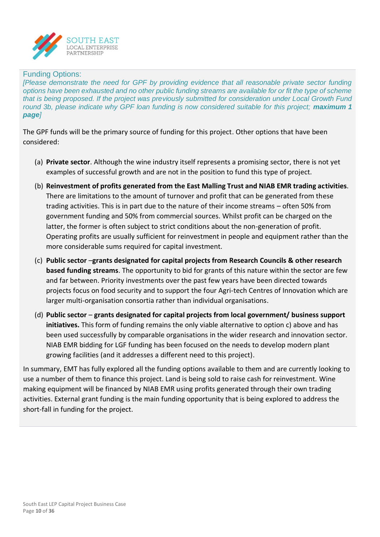

#### Funding Options:

*[Please demonstrate the need for GPF by providing evidence that all reasonable private sector funding options have been exhausted and no other public funding streams are available for or fit the type of scheme that is being proposed. If the project was previously submitted for consideration under Local Growth Fund round 3b, please indicate why GPF loan funding is now considered suitable for this project; maximum 1 page]*

The GPF funds will be the primary source of funding for this project. Other options that have been considered:

- (a) **Private sector**. Although the wine industry itself represents a promising sector, there is not yet examples of successful growth and are not in the position to fund this type of project.
- (b) **Reinvestment of profits generated from the East Malling Trust and NIAB EMR trading activities**. There are limitations to the amount of turnover and profit that can be generated from these trading activities. This is in part due to the nature of their income streams – often 50% from government funding and 50% from commercial sources. Whilst profit can be charged on the latter, the former is often subject to strict conditions about the non-generation of profit. Operating profits are usually sufficient for reinvestment in people and equipment rather than the more considerable sums required for capital investment.
- (c) **Public sector** –**grants designated for capital projects from Research Councils & other research based funding streams**. The opportunity to bid for grants of this nature within the sector are few and far between. Priority investments over the past few years have been directed towards projects focus on food security and to support the four Agri-tech Centres of Innovation which are larger multi-organisation consortia rather than individual organisations.
- (d) **Public sector grants designated for capital projects from local government/ business support initiatives.** This form of funding remains the only viable alternative to option c) above and has been used successfully by comparable organisations in the wider research and innovation sector. NIAB EMR bidding for LGF funding has been focused on the needs to develop modern plant growing facilities (and it addresses a different need to this project).

In summary, EMT has fully explored all the funding options available to them and are currently looking to use a number of them to finance this project. Land is being sold to raise cash for reinvestment. Wine making equipment will be financed by NIAB EMR using profits generated through their own trading activities. External grant funding is the main funding opportunity that is being explored to address the short-fall in funding for the project.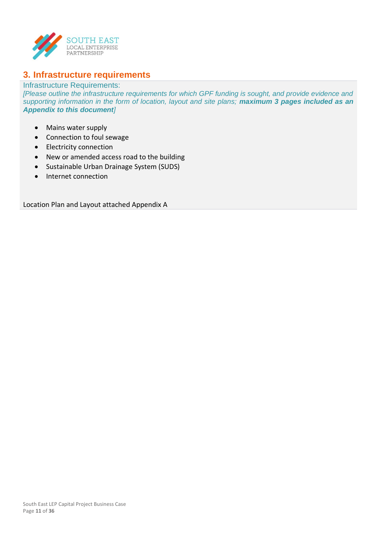

## **3. Infrastructure requirements**

#### Infrastructure Requirements:

*[Please outline the infrastructure requirements for which GPF funding is sought, and provide evidence and supporting information in the form of location, layout and site plans; maximum 3 pages included as an Appendix to this document]*

- Mains water supply
- Connection to foul sewage
- Electricity connection
- New or amended access road to the building
- Sustainable Urban Drainage System (SUDS)
- Internet connection

Location Plan and Layout attached Appendix A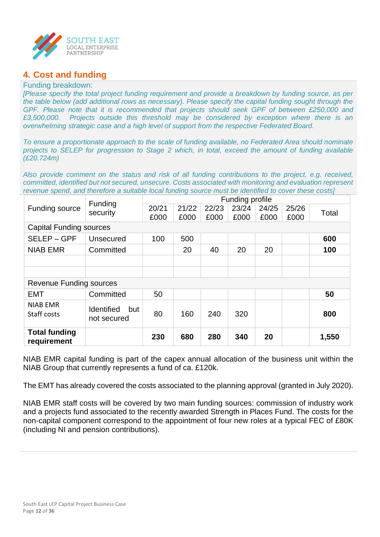

## **4. Cost and funding**

#### Funding breakdown:

*[Please specify the total project funding requirement and provide a breakdown by funding source, as per the table below (add additional rows as necessary). Please specify the capital funding sought through the GPF. Please note that it is recommended that projects should seek GPF of between £250,000 and £3,500,000. Projects outside this threshold may be considered by exception where there is an overwhelming strategic case and a high level of support from the respective Federated Board.*

*To ensure a proportionate approach to the scale of funding available, no Federated Area should nominate projects to SELEP for progression to Stage 2 which, in total, exceed the amount of funding available (£20.724m)*

*Also provide comment on the status and risk of all funding contributions to the project, e.g. received, committed, identified but not secured, unsecure. Costs associated with monitoring and evaluation represent revenue spend, and therefore a suitable local funding source must be identified to cover these costs]*

|                                | Funding                  |       |       |       | Funding profile |       |       |       |  |
|--------------------------------|--------------------------|-------|-------|-------|-----------------|-------|-------|-------|--|
| Funding source                 | security                 | 20/21 | 21/22 | 22/23 | 23/24           | 24/25 | 25/26 | Total |  |
|                                |                          | £000  | £000  | £000  | £000            | £000  | £000  |       |  |
| <b>Capital Funding sources</b> |                          |       |       |       |                 |       |       |       |  |
| SELEP-GPF                      | Unsecured                | 100   | 500   |       |                 |       |       | 600   |  |
| <b>NIAB EMR</b>                | Committed                |       | 20    | 40    | 20              | 20    |       | 100   |  |
|                                |                          |       |       |       |                 |       |       |       |  |
|                                |                          |       |       |       |                 |       |       |       |  |
| <b>Revenue Funding sources</b> |                          |       |       |       |                 |       |       |       |  |
| <b>EMT</b>                     | Committed                | 50    |       |       |                 |       |       | 50    |  |
| <b>NIAB EMR</b>                | <b>Identified</b><br>but |       |       |       |                 |       |       |       |  |
| Staff costs                    | not secured              | 80    | 160   | 240   | 320             |       |       | 800   |  |
|                                |                          |       |       |       |                 |       |       |       |  |
| <b>Total funding</b>           |                          | 230   | 680   | 280   | 340             | 20    |       | 1,550 |  |
| requirement                    |                          |       |       |       |                 |       |       |       |  |

NIAB EMR capital funding is part of the capex annual allocation of the business unit within the NIAB Group that currently represents a fund of ca. £120k.

The EMT has already covered the costs associated to the planning approval (granted in July 2020).

NIAB EMR staff costs will be covered by two main funding sources: commission of industry work and a projects fund associated to the recently awarded Strength in Places Fund. The costs for the non-capital component correspond to the appointment of four new roles at a typical FEC of £80K (including NI and pension contributions).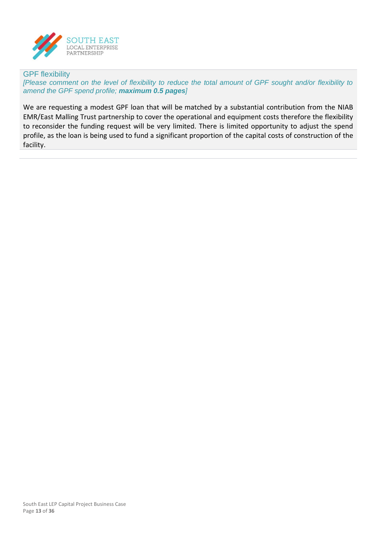

#### GPF flexibility

*[Please comment on the level of flexibility to reduce the total amount of GPF sought and/or flexibility to amend the GPF spend profile; maximum 0.5 pages]*

We are requesting a modest GPF loan that will be matched by a substantial contribution from the NIAB EMR/East Malling Trust partnership to cover the operational and equipment costs therefore the flexibility to reconsider the funding request will be very limited. There is limited opportunity to adjust the spend profile, as the loan is being used to fund a significant proportion of the capital costs of construction of the facility.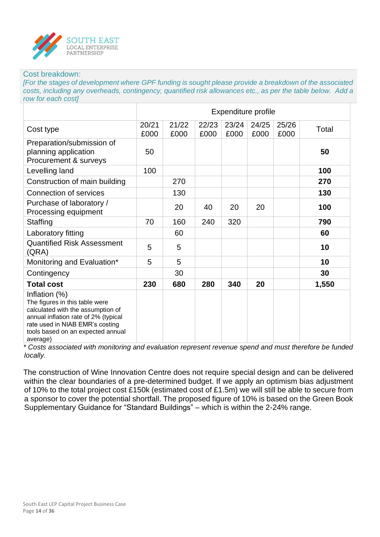

#### Cost breakdown:

*[For the stages of development where GPF funding is sought please provide a breakdown of the associated costs, including any overheads, contingency, quantified risk allowances etc., as per the table below. Add a row for each cost]*

|                                                                                                                                                                                                                  | Expenditure profile |               |               |               |               |               |       |
|------------------------------------------------------------------------------------------------------------------------------------------------------------------------------------------------------------------|---------------------|---------------|---------------|---------------|---------------|---------------|-------|
| Cost type                                                                                                                                                                                                        | 20/21<br>£000       | 21/22<br>£000 | 22/23<br>£000 | 23/24<br>£000 | 24/25<br>£000 | 25/26<br>£000 | Total |
| Preparation/submission of<br>planning application<br>Procurement & surveys                                                                                                                                       | 50                  |               |               |               |               |               | 50    |
| Levelling land                                                                                                                                                                                                   | 100                 |               |               |               |               |               | 100   |
| Construction of main building                                                                                                                                                                                    |                     | 270           |               |               |               |               | 270   |
| <b>Connection of services</b>                                                                                                                                                                                    |                     | 130           |               |               |               |               | 130   |
| Purchase of laboratory /<br>Processing equipment                                                                                                                                                                 |                     | 20            | 40            | 20            | 20            |               | 100   |
| Staffing                                                                                                                                                                                                         | 70                  | 160           | 240           | 320           |               |               | 790   |
| Laboratory fitting                                                                                                                                                                                               |                     | 60            |               |               |               |               | 60    |
| <b>Quantified Risk Assessment</b><br>(QRA)                                                                                                                                                                       | 5                   | 5             |               |               |               |               | 10    |
| Monitoring and Evaluation*                                                                                                                                                                                       | 5                   | 5             |               |               |               |               | 10    |
| Contingency                                                                                                                                                                                                      |                     | 30            |               |               |               |               | 30    |
| <b>Total cost</b>                                                                                                                                                                                                | 230                 | 680           | 280           | 340           | 20            |               | 1,550 |
| Inflation (%)<br>The figures in this table were<br>calculated with the assumption of<br>annual inflation rate of 2% (typical<br>rate used in NIAB EMR's costing<br>tools based on an expected annual<br>average) |                     |               |               |               |               |               |       |

*\* Costs associated with monitoring and evaluation represent revenue spend and must therefore be funded locally.*

The construction of Wine Innovation Centre does not require special design and can be delivered within the clear boundaries of a pre-determined budget. If we apply an optimism bias adjustment of 10% to the total project cost £150k (estimated cost of £1.5m) we will still be able to secure from a sponsor to cover the potential shortfall. The proposed figure of 10% is based on the Green Book Supplementary Guidance for "Standard Buildings" – which is within the 2-24% range.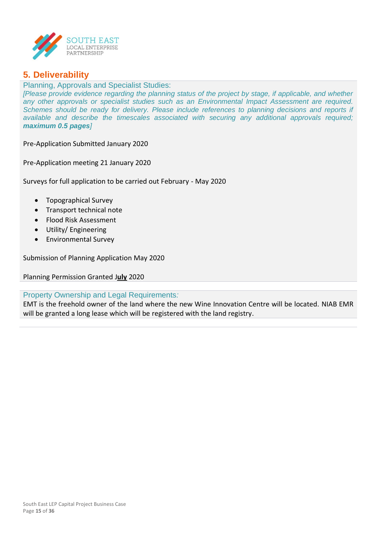

## **5. Deliverability**

Planning, Approvals and Specialist Studies: *[Please provide evidence regarding the planning status of the project by stage, if applicable, and whether any other approvals or specialist studies such as an Environmental Impact Assessment are required. Schemes should be ready for delivery. Please include references to planning decisions and reports if available and describe the timescales associated with securing any additional approvals required; maximum 0.5 pages]*

Pre-Application Submitted January 2020

Pre-Application meeting 21 January 2020

Surveys for full application to be carried out February - May 2020

- Topographical Survey
- Transport technical note
- Flood Risk Assessment
- Utility/ Engineering
- Environmental Survey

Submission of Planning Application May 2020

Planning Permission Granted J**uly** 2020

#### Property Ownership and Legal Requirements*:*

EMT is the freehold owner of the land where the new Wine Innovation Centre will be located. NIAB EMR will be granted a long lease which will be registered with the land registry.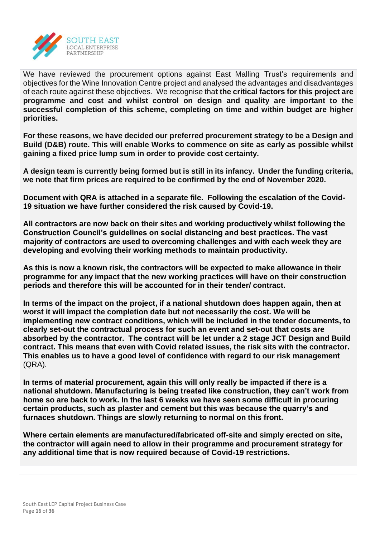

We have reviewed the procurement options against East Malling Trust's requirements and objectives for the Wine Innovation Centre project and analysed the advantages and disadvantages of each route against these objectives. We recognise tha**t the critical factors for this project are programme and cost and whilst control on design and quality are important to the successful completion of this scheme, completing on time and within budget are higher priorities.**

**For these reasons, we have decided our preferred procurement strategy to be a Design and Build (D&B) route. This will enable Works to commence on site as early as possible whilst gaining a fixed price lump sum in order to provide cost certainty.**

**A design team is currently being formed but is still in its infancy. Under the funding criteria, we note that firm prices are required to be confirmed by the end of November 2020.**

**Document with QRA is attached in a separate file. Following the escalation of the Covid-19 situation we have further considered the risk caused by Covid-19.** 

**All contractors are now back on their site**s **and working productively whilst following the Construction Council's guidelines on social distancing and best practices. The vast majority of contractors are used to overcoming challenges and with each week they are developing and evolving their working methods to maintain productivity.** 

**As this is now a known risk, the contractors will be expected to make allowance in their programme for any impact that the new working practices will have on their construction periods and therefore this will be accounted for in their tender/ contract.** 

**In terms of the impact on the project, if a national shutdown does happen again, then at worst it will impact the completion date but not necessarily the cost. We will be implementing new contract conditions, which will be included in the tender documents, to clearly set-out the contractual process for such an event and set-out that costs are absorbed by the contractor. The contract will be let under a 2 stage JCT Design and Build contract. This means that even with Covid related issues, the risk sits with the contractor. This enables us to have a good level of confidence with regard to our risk management** (QRA).

**In terms of material procurement, again this will only really be impacted if there is a national shutdown. Manufacturing is being treated like construction, they can't work from home so are back to work. In the last 6 weeks we have seen some difficult in procuring certain products, such as plaster and cement but this was because the quarry's and furnaces shutdown. Things are slowly returning to normal on this front.** 

**Where certain elements are manufactured/fabricated off-site and simply erected on site, the contractor will again need to allow in their programme and procurement strategy for any additional time that is now required because of Covid-19 restrictions.**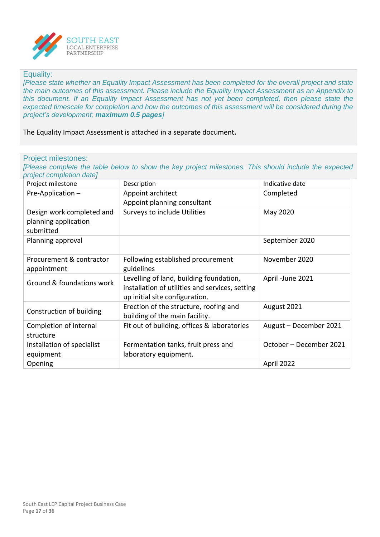

#### Equality:

*[Please state whether an Equality Impact Assessment has been completed for the overall project and state the main outcomes of this assessment. Please include the Equality Impact Assessment as an Appendix to this document. If an Equality Impact Assessment has not yet been completed, then please state the expected timescale for completion and how the outcomes of this assessment will be considered during the project's development; maximum 0.5 pages]*

The Equality Impact Assessment is attached in a separate document**.**

| Project milestone                                              | Description                                                                                                                  | Indicative date         |
|----------------------------------------------------------------|------------------------------------------------------------------------------------------------------------------------------|-------------------------|
| Pre-Application-                                               | Appoint architect<br>Appoint planning consultant                                                                             | Completed               |
| Design work completed and<br>planning application<br>submitted | Surveys to include Utilities                                                                                                 | May 2020                |
| Planning approval                                              |                                                                                                                              | September 2020          |
| Procurement & contractor<br>appointment                        | Following established procurement<br>guidelines                                                                              | November 2020           |
| Ground & foundations work                                      | Levelling of land, building foundation,<br>installation of utilities and services, setting<br>up initial site configuration. | April - June 2021       |
| Construction of building                                       | Erection of the structure, roofing and<br>building of the main facility.                                                     | August 2021             |
| Completion of internal<br>structure                            | Fit out of building, offices & laboratories                                                                                  | August - December 2021  |
| Installation of specialist<br>equipment                        | Fermentation tanks, fruit press and<br>laboratory equipment.                                                                 | October – December 2021 |
| Opening                                                        |                                                                                                                              | April 2022              |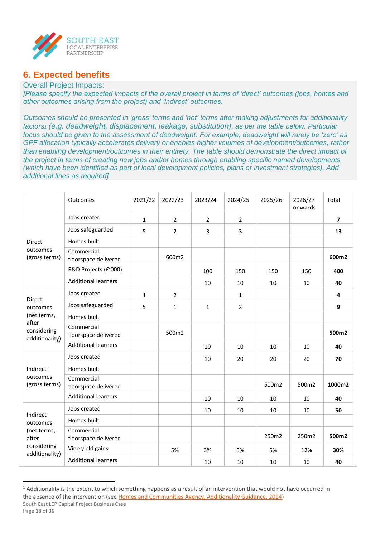

## **6. Expected benefits**

#### Overall Project Impacts:

*[Please specify the expected impacts of the overall project in terms of 'direct' outcomes (jobs, homes and other outcomes arising from the project) and 'indirect' outcomes.* 

*Outcomes should be presented in 'gross' terms and 'net' terms after making adjustments for additionality factors<sup>1</sup> (e.g. deadweight, displacement, leakage, substitution), as per the table below. Particular focus should be given to the assessment of deadweight. For example, deadweight will rarely be 'zero' as GPF allocation typically accelerates delivery or enables higher volumes of development/outcomes, rather than enabling development/outcomes in their entirety. The table should demonstrate the direct impact of the project in terms of creating new jobs and/or homes through enabling specific named developments (which have been identified as part of local development policies, plans or investment strategies). Add additional lines as required]*

|                                        | Outcomes                           | 2021/22      | 2022/23        | 2023/24        | 2024/25        | 2025/26 | 2026/27<br>onwards | Total          |
|----------------------------------------|------------------------------------|--------------|----------------|----------------|----------------|---------|--------------------|----------------|
|                                        | Jobs created                       | $\mathbf 1$  | $\overline{2}$ | $\overline{2}$ | $\overline{2}$ |         |                    | $\overline{7}$ |
|                                        | Jobs safeguarded                   | 5            | $\overline{2}$ | 3              | 3              |         |                    | 13             |
| Direct                                 | Homes built                        |              |                |                |                |         |                    |                |
| outcomes<br>(gross terms)              | Commercial<br>floorspace delivered |              | 600m2          |                |                |         |                    | 600m2          |
|                                        | R&D Projects (£'000)               |              |                | 100            | 150            | 150     | 150                | 400            |
|                                        | <b>Additional learners</b>         |              |                | 10             | 10             | 10      | 10                 | 40             |
|                                        | Jobs created                       | $\mathbf{1}$ | $\overline{2}$ |                | $\mathbf{1}$   |         |                    | 4              |
| <b>Direct</b><br>outcomes              | Jobs safeguarded                   | 5            | $\mathbf{1}$   | $\mathbf{1}$   | $\overline{2}$ |         |                    | 9              |
| (net terms,                            | Homes built                        |              |                |                |                |         |                    |                |
| after<br>considering<br>additionality) | Commercial<br>floorspace delivered |              | 500m2          |                |                |         |                    | 500m2          |
|                                        | <b>Additional learners</b>         |              |                | 10             | 10             | 10      | 10                 | 40             |
|                                        | Jobs created                       |              |                | 10             | 20             | 20      | 20                 | 70             |
| Indirect                               | Homes built                        |              |                |                |                |         |                    |                |
| outcomes<br>(gross terms)              | Commercial<br>floorspace delivered |              |                |                |                | 500m2   | 500m2              | 1000m2         |
|                                        | <b>Additional learners</b>         |              |                | 10             | 10             | 10      | 10                 | 40             |
|                                        | Jobs created                       |              |                | 10             | 10             | 10      | 10                 | 50             |
| Indirect<br>outcomes                   | Homes built                        |              |                |                |                |         |                    |                |
| (net terms,<br>after                   | Commercial<br>floorspace delivered |              |                |                |                | 250m2   | 250m2              | 500m2          |
| considering<br>additionality)          | Vine yield gains                   |              | 5%             | 3%             | 5%             | 5%      | 12%                | 30%            |
|                                        | <b>Additional learners</b>         |              |                | 10             | 10             | 10      | 10                 | 40             |

<sup>&</sup>lt;sup>1</sup> Additionality is the extent to which something happens as a result of an intervention that would not have occurred in the absence of the intervention (se[e Homes and Communities Agency, Additionality Guidance, 2014\)](https://assets.publishing.service.gov.uk/government/uploads/system/uploads/attachment_data/file/378177/additionality_guide_2014_full.pdf)

South East LEP Capital Project Business Case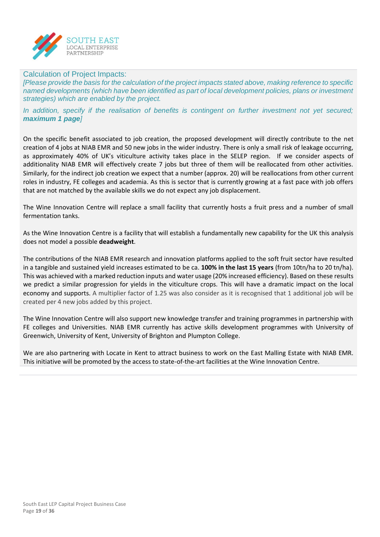

#### Calculation of Project Impacts:

*[Please provide the basis for the calculation of the project impacts stated above, making reference to specific named developments (which have been identified as part of local development policies, plans or investment strategies) which are enabled by the project.* 

*In addition, specify if the realisation of benefits is contingent on further investment not yet secured; maximum 1 page]*

On the specific benefit associated to job creation, the proposed development will directly contribute to the net creation of 4 jobs at NIAB EMR and 50 new jobs in the wider industry. There is only a small risk of leakage occurring, as approximately 40% of UK's viticulture activity takes place in the SELEP region. If we consider aspects of additionality NIAB EMR will effectively create 7 jobs but three of them will be reallocated from other activities. Similarly, for the indirect job creation we expect that a number (approx. 20) will be reallocations from other current roles in industry, FE colleges and academia. As this is sector that is currently growing at a fast pace with job offers that are not matched by the available skills we do not expect any job displacement.

The Wine Innovation Centre will replace a small facility that currently hosts a fruit press and a number of small fermentation tanks.

As the Wine Innovation Centre is a facility that will establish a fundamentally new capability for the UK this analysis does not model a possible **deadweight**.

The contributions of the NIAB EMR research and innovation platforms applied to the soft fruit sector have resulted in a tangible and sustained yield increases estimated to be ca. **100% in the last 15 years** (from 10tn/ha to 20 tn/ha). This was achieved with a marked reduction inputs and water usage (20% increased efficiency). Based on these results we predict a similar progression for yields in the viticulture crops. This will have a dramatic impact on the local economy and supports. A multiplier factor of 1.25 was also consider as it is recognised that 1 additional job will be created per 4 new jobs added by this project.

The Wine Innovation Centre will also support new knowledge transfer and training programmes in partnership with FE colleges and Universities. NIAB EMR currently has active skills development programmes with University of Greenwich, University of Kent, University of Brighton and Plumpton College.

We are also partnering with Locate in Kent to attract business to work on the East Malling Estate with NIAB EMR. This initiative will be promoted by the access to state-of-the-art facilities at the Wine Innovation Centre.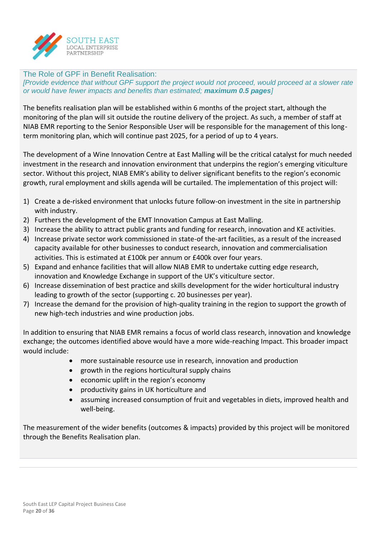

The Role of GPF in Benefit Realisation: *[Provide evidence that without GPF support the project would not proceed, would proceed at a slower rate or would have fewer impacts and benefits than estimated; maximum 0.5 pages]*

The benefits realisation plan will be established within 6 months of the project start, although the monitoring of the plan will sit outside the routine delivery of the project. As such, a member of staff at NIAB EMR reporting to the Senior Responsible User will be responsible for the management of this longterm monitoring plan, which will continue past 2025, for a period of up to 4 years.

The development of a Wine Innovation Centre at East Malling will be the critical catalyst for much needed investment in the research and innovation environment that underpins the region's emerging viticulture sector. Without this project, NIAB EMR's ability to deliver significant benefits to the region's economic growth, rural employment and skills agenda will be curtailed. The implementation of this project will:

- 1) Create a de-risked environment that unlocks future follow-on investment in the site in partnership with industry.
- 2) Furthers the development of the EMT Innovation Campus at East Malling.
- 3) Increase the ability to attract public grants and funding for research, innovation and KE activities.
- 4) Increase private sector work commissioned in state-of the-art facilities, as a result of the increased capacity available for other businesses to conduct research, innovation and commercialisation activities. This is estimated at £100k per annum or £400k over four years.
- 5) Expand and enhance facilities that will allow NIAB EMR to undertake cutting edge research, innovation and Knowledge Exchange in support of the UK's viticulture sector.
- 6) Increase dissemination of best practice and skills development for the wider horticultural industry leading to growth of the sector (supporting c. 20 businesses per year).
- 7) Increase the demand for the provision of high-quality training in the region to support the growth of new high-tech industries and wine production jobs.

In addition to ensuring that NIAB EMR remains a focus of world class research, innovation and knowledge exchange; the outcomes identified above would have a more wide-reaching Impact. This broader impact would include:

- more sustainable resource use in research, innovation and production
- growth in the regions horticultural supply chains
- economic uplift in the region's economy
- productivity gains in UK horticulture and
- assuming increased consumption of fruit and vegetables in diets, improved health and well-being.

The measurement of the wider benefits (outcomes & impacts) provided by this project will be monitored through the Benefits Realisation plan.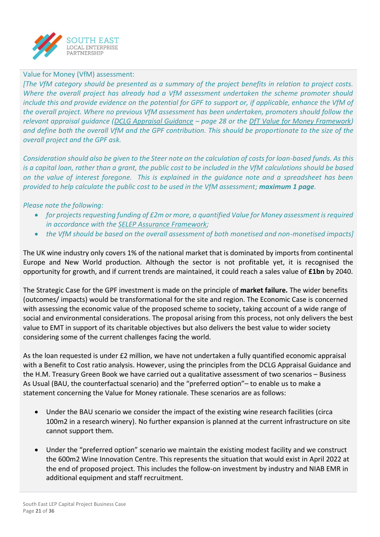

#### Value for Money (VfM) assessment:

*[The VfM category should be presented as a summary of the project benefits in relation to project costs. Where the overall project has already had a VfM assessment undertaken the scheme promoter should include this and provide evidence on the potential for GPF to support or, if applicable, enhance the VfM of the overall project. Where no previous VfM assessment has been undertaken, promoters should follow the relevant appraisal guidance [\(DCLG Appraisal Guidance](https://assets.publishing.service.gov.uk/government/uploads/system/uploads/attachment_data/file/576427/161129_Appraisal_Guidance.pdf) – page 28 or the [DfT Value for Money Framework\)](https://assets.publishing.service.gov.uk/government/uploads/system/uploads/attachment_data/file/630704/value-for-money-framework.pdf) and define both the overall VfM and the GPF contribution. This should be proportionate to the size of the overall project and the GPF ask.* 

*Consideration should also be given to the Steer note on the calculation of costs for loan-based funds. As this is a capital loan, rather than a grant, the public cost to be included in the VfM calculations should be based on the value of interest foregone. This is explained in the guidance note and a spreadsheet has been provided to help calculate the public cost to be used in the VfM assessment; maximum 1 page.* 

#### *Please note the following:*

- *for projects requesting funding of £2m or more, a quantified Value for Money assessment is required in accordance with the [SELEP Assurance Framework;](file:///Y:/Local%20Enterprise%20Partnership/Governance/Policies/Assurance%20Framework/Assurance%20Framework%202019/Assurance%20Framework%202019%20FINAL.pdf)*
- *the VfM should be based on the overall assessment of both monetised and non-monetised impacts]*

The UK wine industry only covers 1% of the national market that is dominated by imports from continental Europe and New World production. Although the sector is not profitable yet, it is recognised the opportunity for growth, and if current trends are maintained, it could reach a sales value of **£1bn** by 2040.

The Strategic Case for the GPF investment is made on the principle of **market failure.** The wider benefits (outcomes/ impacts) would be transformational for the site and region. The Economic Case is concerned with assessing the economic value of the proposed scheme to society, taking account of a wide range of social and environmental considerations. The proposal arising from this process, not only delivers the best value to EMT in support of its charitable objectives but also delivers the best value to wider society considering some of the current challenges facing the world.

As the loan requested is under £2 million, we have not undertaken a fully quantified economic appraisal with a Benefit to Cost ratio analysis. However, using the principles from the DCLG Appraisal Guidance and the H.M. Treasury Green Book we have carried out a qualitative assessment of two scenarios – Business As Usual (BAU, the counterfactual scenario) and the "preferred option"– to enable us to make a statement concerning the Value for Money rationale. These scenarios are as follows:

- Under the BAU scenario we consider the impact of the existing wine research facilities (circa 100m2 in a research winery). No further expansion is planned at the current infrastructure on site cannot support them.
- Under the "preferred option" scenario we maintain the existing modest facility and we construct the 600m2 Wine Innovation Centre. This represents the situation that would exist in April 2022 at the end of proposed project. This includes the follow-on investment by industry and NIAB EMR in additional equipment and staff recruitment.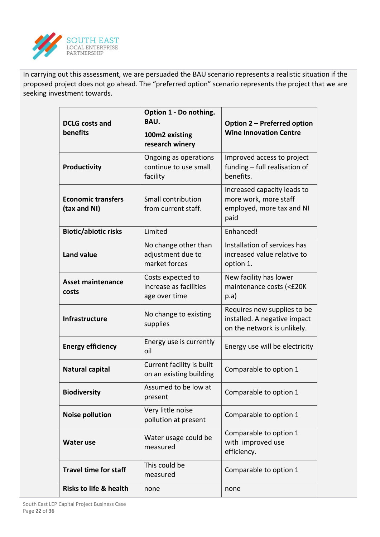

In carrying out this assessment, we are persuaded the BAU scenario represents a realistic situation if the proposed project does not go ahead. The "preferred option" scenario represents the project that we are seeking investment towards.

| <b>DCLG</b> costs and                     | Option 1 - Do nothing.<br><b>BAU.</b>                        | Option 2 - Preferred option<br><b>Wine Innovation Centre</b>                               |  |  |
|-------------------------------------------|--------------------------------------------------------------|--------------------------------------------------------------------------------------------|--|--|
| benefits                                  | 100m2 existing<br>research winery                            |                                                                                            |  |  |
| Productivity                              | Ongoing as operations<br>continue to use small<br>facility   | Improved access to project<br>funding - full realisation of<br>benefits.                   |  |  |
| <b>Economic transfers</b><br>(tax and NI) | Small contribution<br>from current staff.                    | Increased capacity leads to<br>more work, more staff<br>employed, more tax and NI<br>paid  |  |  |
| <b>Biotic/abiotic risks</b>               | Limited                                                      | Enhanced!                                                                                  |  |  |
| <b>Land value</b>                         | No change other than<br>adjustment due to<br>market forces   | Installation of services has<br>increased value relative to<br>option 1.                   |  |  |
| <b>Asset maintenance</b><br>costs         | Costs expected to<br>increase as facilities<br>age over time | New facility has lower<br>maintenance costs (<£20K<br>p.a)                                 |  |  |
| <b>Infrastructure</b>                     | No change to existing<br>supplies                            | Requires new supplies to be<br>installed. A negative impact<br>on the network is unlikely. |  |  |
| <b>Energy efficiency</b>                  | Energy use is currently<br>oil                               | Energy use will be electricity                                                             |  |  |
| Natural capital                           | Current facility is built<br>on an existing building         | Comparable to option 1                                                                     |  |  |
| <b>Biodiversity</b>                       | Assumed to be low at<br>present                              | Comparable to option 1                                                                     |  |  |
| <b>Noise pollution</b>                    | Very little noise<br>pollution at present                    | Comparable to option 1                                                                     |  |  |
| <b>Water use</b>                          | Water usage could be<br>measured                             | Comparable to option 1<br>with improved use<br>efficiency.                                 |  |  |
| <b>Travel time for staff</b>              | This could be<br>measured                                    | Comparable to option 1                                                                     |  |  |
| <b>Risks to life &amp; health</b>         | none                                                         | none                                                                                       |  |  |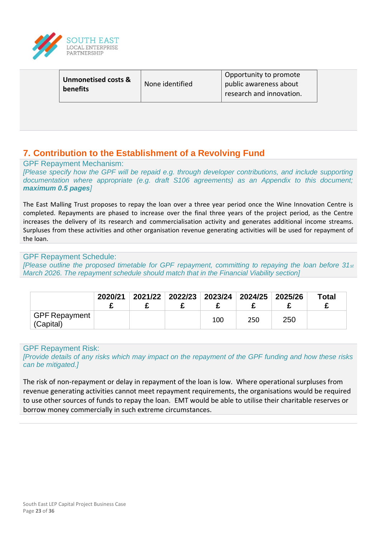

| <b>Unmonetised costs &amp;</b><br>benefits | None identified | Opportunity to promote<br>public awareness about<br>research and innovation. |  |
|--------------------------------------------|-----------------|------------------------------------------------------------------------------|--|
|                                            |                 |                                                                              |  |

## **7. Contribution to the Establishment of a Revolving Fund**

GPF Repayment Mechanism:

*[Please specify how the GPF will be repaid e.g. through developer contributions, and include supporting documentation where appropriate (e.g. draft S106 agreements) as an Appendix to this document; maximum 0.5 pages]*

The East Malling Trust proposes to repay the loan over a three year period once the Wine Innovation Centre is completed. Repayments are phased to increase over the final three years of the project period, as the Centre increases the delivery of its research and commercialisation activity and generates additional income streams. Surpluses from these activities and other organisation revenue generating activities will be used for repayment of the loan.

#### GPF Repayment Schedule:

*[Please outline the proposed timetable for GPF repayment, committing to repaying the loan before 31st March 2026. The repayment schedule should match that in the Financial Viability section]*

|                                   | 2020/21 | 2021/22 2022/23 2023/24 2024/25 2025/26 |     |     |     | <b>Total</b> |
|-----------------------------------|---------|-----------------------------------------|-----|-----|-----|--------------|
| <b>GPF Repayment</b><br>(Capital) |         |                                         | 100 | 250 | 250 |              |

#### GPF Repayment Risk:

*[Provide details of any risks which may impact on the repayment of the GPF funding and how these risks can be mitigated.]*

The risk of non-repayment or delay in repayment of the loan is low. Where operational surpluses from revenue generating activities cannot meet repayment requirements, the organisations would be required to use other sources of funds to repay the loan. EMT would be able to utilise their charitable reserves or borrow money commercially in such extreme circumstances.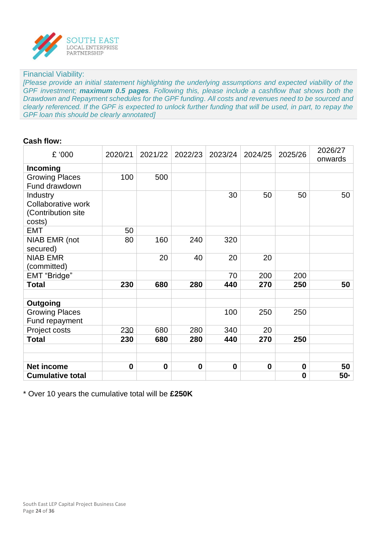

#### Financial Viability:

*[Please provide an initial statement highlighting the underlying assumptions and expected viability of the GPF investment; maximum 0.5 pages. Following this, please include a cashflow that shows both the Drawdown and Repayment schedules for the GPF funding. All costs and revenues need to be sourced and clearly referenced. If the GPF is expected to unlock further funding that will be used, in part, to repay the GPF loan this should be clearly annotated]*

#### **Cash flow:**

| £ '000                                                         | 2020/21     | 2021/22     | 2022/23     | 2023/24     | 2024/25  | 2025/26  | 2026/27<br>onwards |
|----------------------------------------------------------------|-------------|-------------|-------------|-------------|----------|----------|--------------------|
| <b>Incoming</b>                                                |             |             |             |             |          |          |                    |
| <b>Growing Places</b><br>Fund drawdown                         | 100         | 500         |             |             |          |          |                    |
| Industry<br>Collaborative work<br>(Contribution site<br>costs) |             |             |             | 30          | 50       | 50       | 50                 |
| <b>EMT</b>                                                     | 50          |             |             |             |          |          |                    |
| NIAB EMR (not<br>secured)                                      | 80          | 160         | 240         | 320         |          |          |                    |
| <b>NIAB EMR</b>                                                |             | 20          | 40          | 20          | 20       |          |                    |
| (committed)                                                    |             |             |             |             |          |          |                    |
| <b>EMT</b> "Bridge"                                            |             |             |             | 70          | 200      | 200      |                    |
| <b>Total</b>                                                   | 230         | 680         | 280         | 440         | 270      | 250      | 50                 |
|                                                                |             |             |             |             |          |          |                    |
| Outgoing                                                       |             |             |             |             |          |          |                    |
| <b>Growing Places</b><br>Fund repayment                        |             |             |             | 100         | 250      | 250      |                    |
| Project costs                                                  | 230         | 680         | 280         | 340         | 20       |          |                    |
| <b>Total</b>                                                   | 230         | 680         | 280         | 440         | 270      | 250      |                    |
|                                                                |             |             |             |             |          |          |                    |
|                                                                |             |             |             |             |          |          |                    |
| <b>Net income</b>                                              | $\mathbf 0$ | $\mathbf 0$ | $\mathbf 0$ | $\mathbf 0$ | $\bf{0}$ | $\bf{0}$ | 50                 |
| <b>Cumulative total</b>                                        |             |             |             |             |          | $\bf{0}$ | $50*$              |

\* Over 10 years the cumulative total will be **£250K**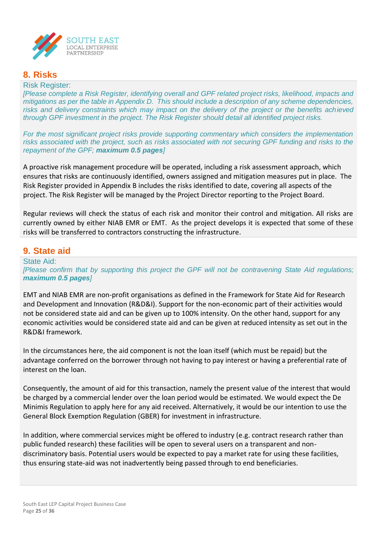

## **8. Risks**

#### Risk Register:

*[Please complete a Risk Register, identifying overall and GPF related project risks, likelihood, impacts and mitigations as per the table in Appendix D. This should include a description of any scheme dependencies, risks and delivery constraints which may impact on the delivery of the project or the benefits achieved through GPF investment in the project. The Risk Register should detail all identified project risks.*

*For the most significant project risks provide supporting commentary which considers the implementation risks associated with the project, such as risks associated with not securing GPF funding and risks to the repayment of the GPF; maximum 0.5 pages]*

A proactive risk management procedure will be operated, including a risk assessment approach, which ensures that risks are continuously identified, owners assigned and mitigation measures put in place. The Risk Register provided in Appendix B includes the risks identified to date, covering all aspects of the project. The Risk Register will be managed by the Project Director reporting to the Project Board.

Regular reviews will check the status of each risk and monitor their control and mitigation. All risks are currently owned by either NIAB EMR or EMT. As the project develops it is expected that some of these risks will be transferred to contractors constructing the infrastructure.

#### **9. State aid**

State Aid: *[Please confirm that by supporting this project the GPF will not be contravening State Aid regulations; maximum 0.5 pages]*

EMT and NIAB EMR are non-profit organisations as defined in the Framework for State Aid for Research and Development and Innovation (R&D&I). Support for the non-economic part of their activities would not be considered state aid and can be given up to 100% intensity. On the other hand, support for any economic activities would be considered state aid and can be given at reduced intensity as set out in the R&D&I framework.

In the circumstances here, the aid component is not the loan itself (which must be repaid) but the advantage conferred on the borrower through not having to pay interest or having a preferential rate of interest on the loan.

Consequently, the amount of aid for this transaction, namely the present value of the interest that would be charged by a commercial lender over the loan period would be estimated. We would expect the De Minimis Regulation to apply here for any aid received. Alternatively, it would be our intention to use the General Block Exemption Regulation (GBER) for investment in infrastructure.

In addition, where commercial services might be offered to industry (e.g. contract research rather than public funded research) these facilities will be open to several users on a transparent and nondiscriminatory basis. Potential users would be expected to pay a market rate for using these facilities, thus ensuring state-aid was not inadvertently being passed through to end beneficiaries.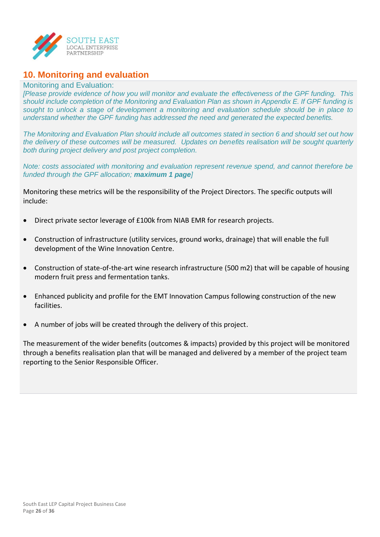

## **10. Monitoring and evaluation**

#### Monitoring and Evaluation:

*[Please provide evidence of how you will monitor and evaluate the effectiveness of the GPF funding. This should include completion of the Monitoring and Evaluation Plan as shown in Appendix E. If GPF funding is sought to unlock a stage of development a monitoring and evaluation schedule should be in place to understand whether the GPF funding has addressed the need and generated the expected benefits.*

*The Monitoring and Evaluation Plan should include all outcomes stated in section 6 and should set out how the delivery of these outcomes will be measured. Updates on benefits realisation will be sought quarterly both during project delivery and post project completion.*

*Note: costs associated with monitoring and evaluation represent revenue spend, and cannot therefore be funded through the GPF allocation; maximum 1 page]*

Monitoring these metrics will be the responsibility of the Project Directors. The specific outputs will include:

- Direct private sector leverage of £100k from NIAB EMR for research projects.
- Construction of infrastructure (utility services, ground works, drainage) that will enable the full development of the Wine Innovation Centre.
- Construction of state-of-the-art wine research infrastructure (500 m2) that will be capable of housing modern fruit press and fermentation tanks.
- Enhanced publicity and profile for the EMT Innovation Campus following construction of the new facilities.
- A number of jobs will be created through the delivery of this project.

The measurement of the wider benefits (outcomes & impacts) provided by this project will be monitored through a benefits realisation plan that will be managed and delivered by a member of the project team reporting to the Senior Responsible Officer.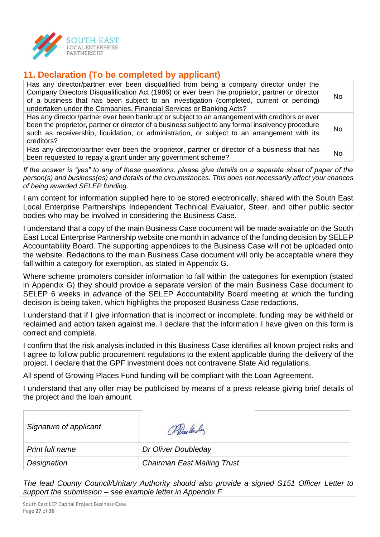

## **11. Declaration (To be completed by applicant)**

| Has any director/partner ever been disqualified from being a company director under the<br>Company Directors Disqualification Act (1986) or ever been the proprietor, partner or director<br>of a business that has been subject to an investigation (completed, current or pending)<br>undertaken under the Companies, Financial Services or Banking Acts? | No |
|-------------------------------------------------------------------------------------------------------------------------------------------------------------------------------------------------------------------------------------------------------------------------------------------------------------------------------------------------------------|----|
| Has any director/partner ever been bankrupt or subject to an arrangement with creditors or ever<br>been the proprietor, partner or director of a business subject to any formal insolvency procedure<br>such as receivership, liquidation, or administration, or subject to an arrangement with its<br>creditors?                                           | No |
| Has any director/partner ever been the proprietor, partner or director of a business that has<br>been requested to repay a grant under any government scheme?                                                                                                                                                                                               | No |

*If the answer is "yes" to any of these questions, please give details on a separate sheet of paper of the person(s) and business(es) and details of the circumstances. This does not necessarily affect your chances of being awarded SELEP funding.*

I am content for information supplied here to be stored electronically, shared with the South East Local Enterprise Partnerships Independent Technical Evaluator, Steer, and other public sector bodies who may be involved in considering the Business Case.

I understand that a copy of the main Business Case document will be made available on the South East Local Enterprise Partnership website one month in advance of the funding decision by SELEP Accountability Board. The supporting appendices to the Business Case will not be uploaded onto the website. Redactions to the main Business Case document will only be acceptable where they fall within a category for exemption, as stated in Appendix G.

Where scheme promoters consider information to fall within the categories for exemption (stated in Appendix G) they should provide a separate version of the main Business Case document to SELEP 6 weeks in advance of the SELEP Accountability Board meeting at which the funding decision is being taken, which highlights the proposed Business Case redactions.

I understand that if I give information that is incorrect or incomplete, funding may be withheld or reclaimed and action taken against me. I declare that the information I have given on this form is correct and complete.

I confirm that the risk analysis included in this Business Case identifies all known project risks and I agree to follow public procurement regulations to the extent applicable during the delivery of the project. I declare that the GPF investment does not contravene State Aid regulations.

All spend of Growing Places Fund funding will be compliant with the Loan Agreement.

I understand that any offer may be publicised by means of a press release giving brief details of the project and the loan amount.

| Signature of applicant | Prailedy                           |
|------------------------|------------------------------------|
| Print full name        | Dr Oliver Doubleday                |
| Designation            | <b>Chairman East Malling Trust</b> |

*The lead County Council/Unitary Authority should also provide a signed S151 Officer Letter to support the submission – see example letter in Appendix F*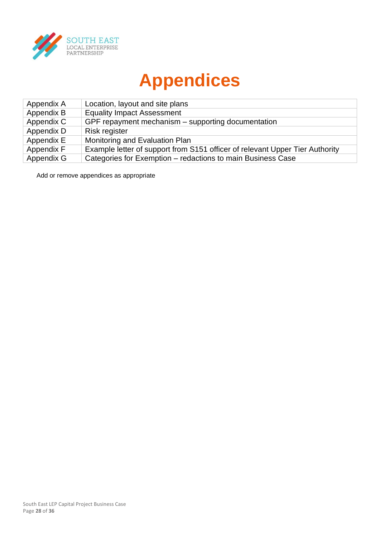

# **Appendices**

| Appendix A | Location, layout and site plans                                              |
|------------|------------------------------------------------------------------------------|
| Appendix B | <b>Equality Impact Assessment</b>                                            |
| Appendix C | GPF repayment mechanism – supporting documentation                           |
| Appendix D | Risk register                                                                |
| Appendix E | Monitoring and Evaluation Plan                                               |
| Appendix F | Example letter of support from S151 officer of relevant Upper Tier Authority |
| Appendix G | Categories for Exemption - redactions to main Business Case                  |

Add or remove appendices as appropriate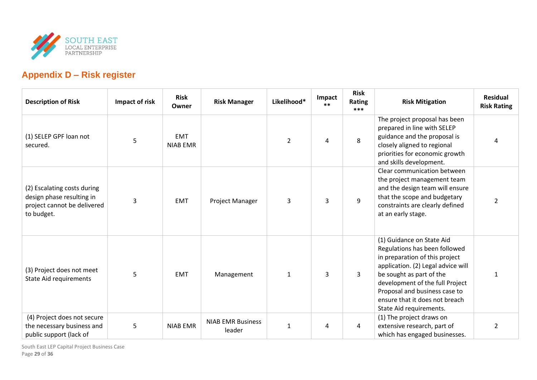

## **Appendix D – Risk register**

| <b>Description of Risk</b>                                                                            | Impact of risk | <b>Risk</b><br>Owner          | <b>Risk Manager</b>                | Likelihood*    | Impact<br>$***$ | <b>Risk</b><br>Rating<br>*** | <b>Risk Mitigation</b>                                                                                                                                                                                                                                                                          | <b>Residual</b><br><b>Risk Rating</b> |
|-------------------------------------------------------------------------------------------------------|----------------|-------------------------------|------------------------------------|----------------|-----------------|------------------------------|-------------------------------------------------------------------------------------------------------------------------------------------------------------------------------------------------------------------------------------------------------------------------------------------------|---------------------------------------|
| (1) SELEP GPF loan not<br>secured.                                                                    | 5              | <b>EMT</b><br><b>NIAB EMR</b> |                                    | $\overline{2}$ | 4               | 8                            | The project proposal has been<br>prepared in line with SELEP<br>guidance and the proposal is<br>closely aligned to regional<br>priorities for economic growth<br>and skills development.                                                                                                        | 4                                     |
| (2) Escalating costs during<br>design phase resulting in<br>project cannot be delivered<br>to budget. | 3              | <b>EMT</b>                    | Project Manager                    | 3              | 3               | 9                            | Clear communication between<br>the project management team<br>and the design team will ensure<br>that the scope and budgetary<br>constraints are clearly defined<br>at an early stage.                                                                                                          | $\overline{2}$                        |
| (3) Project does not meet<br><b>State Aid requirements</b>                                            | 5              | <b>EMT</b>                    | Management                         | $\mathbf{1}$   | 3               | $\mathbf{3}$                 | (1) Guidance on State Aid<br>Regulations has been followed<br>in preparation of this project<br>application. (2) Legal advice will<br>be sought as part of the<br>development of the full Project<br>Proposal and business case to<br>ensure that it does not breach<br>State Aid requirements. | 1                                     |
| (4) Project does not secure<br>the necessary business and<br>public support (lack of                  | 5              | <b>NIAB EMR</b>               | <b>NIAB EMR Business</b><br>leader | $\mathbf 1$    | 4               | 4                            | (1) The project draws on<br>extensive research, part of<br>which has engaged businesses.                                                                                                                                                                                                        | $\overline{2}$                        |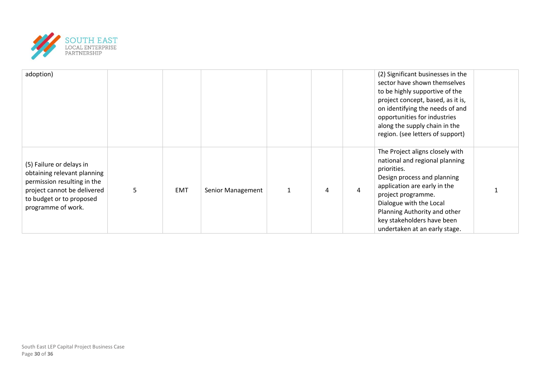

| adoption)                                                                                                                                                               |   |            |                   |   |   |   | (2) Significant businesses in the<br>sector have shown themselves<br>to be highly supportive of the<br>project concept, based, as it is,<br>on identifying the needs of and<br>opportunities for industries<br>along the supply chain in the<br>region. (see letters of support)                |  |
|-------------------------------------------------------------------------------------------------------------------------------------------------------------------------|---|------------|-------------------|---|---|---|-------------------------------------------------------------------------------------------------------------------------------------------------------------------------------------------------------------------------------------------------------------------------------------------------|--|
| (5) Failure or delays in<br>obtaining relevant planning<br>permission resulting in the<br>project cannot be delivered<br>to budget or to proposed<br>programme of work. | 5 | <b>EMT</b> | Senior Management | 1 | 4 | 4 | The Project aligns closely with<br>national and regional planning<br>priorities.<br>Design process and planning<br>application are early in the<br>project programme.<br>Dialogue with the Local<br>Planning Authority and other<br>key stakeholders have been<br>undertaken at an early stage. |  |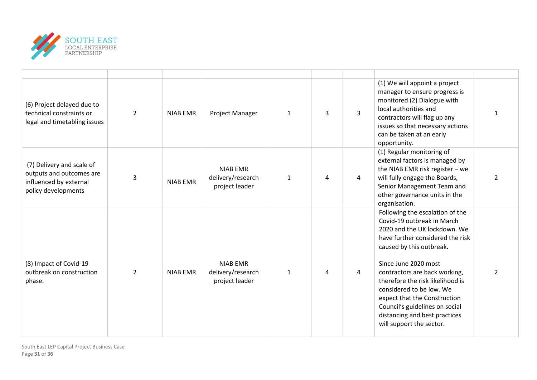

| (6) Project delayed due to<br>technical constraints or<br>legal and timetabling issues                 | $\overline{2}$ | <b>NIAB EMR</b> | Project Manager                                        | $\mathbf{1}$ | 3 | $\overline{3}$ | (1) We will appoint a project<br>manager to ensure progress is<br>monitored (2) Dialogue with<br>local authorities and<br>contractors will flag up any<br>issues so that necessary actions<br>can be taken at an early<br>opportunity.                                                                                                                                                                                | 1             |
|--------------------------------------------------------------------------------------------------------|----------------|-----------------|--------------------------------------------------------|--------------|---|----------------|-----------------------------------------------------------------------------------------------------------------------------------------------------------------------------------------------------------------------------------------------------------------------------------------------------------------------------------------------------------------------------------------------------------------------|---------------|
| (7) Delivery and scale of<br>outputs and outcomes are<br>influenced by external<br>policy developments | 3              | <b>NIAB EMR</b> | <b>NIAB EMR</b><br>delivery/research<br>project leader | $\mathbf{1}$ | 4 | 4              | (1) Regular monitoring of<br>external factors is managed by<br>the NIAB EMR risk register $-$ we<br>will fully engage the Boards,<br>Senior Management Team and<br>other governance units in the<br>organisation.                                                                                                                                                                                                     | $\mathcal{P}$ |
| (8) Impact of Covid-19<br>outbreak on construction<br>phase.                                           | $\overline{2}$ | <b>NIAB EMR</b> | <b>NIAB EMR</b><br>delivery/research<br>project leader | $\mathbf{1}$ | 4 | 4              | Following the escalation of the<br>Covid-19 outbreak in March<br>2020 and the UK lockdown. We<br>have further considered the risk<br>caused by this outbreak.<br>Since June 2020 most<br>contractors are back working,<br>therefore the risk likelihood is<br>considered to be low. We<br>expect that the Construction<br>Council's guidelines on social<br>distancing and best practices<br>will support the sector. | $\mathcal{P}$ |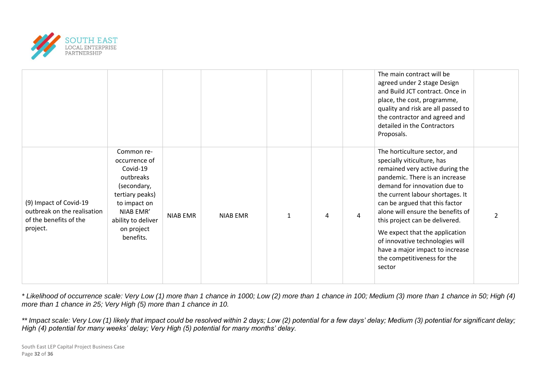

|                                                                                             |                                                                                                                                                                      |          |                 |              |   |   | The main contract will be<br>agreed under 2 stage Design<br>and Build JCT contract. Once in<br>place, the cost, programme,<br>quality and risk are all passed to<br>the contractor and agreed and<br>detailed in the Contractors<br>Proposals.                                                                                                                                                                                                                |                |
|---------------------------------------------------------------------------------------------|----------------------------------------------------------------------------------------------------------------------------------------------------------------------|----------|-----------------|--------------|---|---|---------------------------------------------------------------------------------------------------------------------------------------------------------------------------------------------------------------------------------------------------------------------------------------------------------------------------------------------------------------------------------------------------------------------------------------------------------------|----------------|
| (9) Impact of Covid-19<br>outbreak on the realisation<br>of the benefits of the<br>project. | Common re-<br>occurrence of<br>Covid-19<br>outbreaks<br>(secondary,<br>tertiary peaks)<br>to impact on<br>NIAB EMR'<br>ability to deliver<br>on project<br>benefits. | NIAB EMR | <b>NIAB EMR</b> | $\mathbf{1}$ | 4 | 4 | The horticulture sector, and<br>specially viticulture, has<br>remained very active during the<br>pandemic. There is an increase<br>demand for innovation due to<br>the current labour shortages. It<br>can be argued that this factor<br>alone will ensure the benefits of<br>this project can be delivered.<br>We expect that the application<br>of innovative technologies will<br>have a major impact to increase<br>the competitiveness for the<br>sector | $\overline{2}$ |

*\* Likelihood of occurrence scale: Very Low (1) more than 1 chance in 1000; Low (2) more than 1 chance in 100; Medium (3) more than 1 chance in 50; High (4) more than 1 chance in 25; Very High (5) more than 1 chance in 10.*

*\*\* Impact scale: Very Low (1) likely that impact could be resolved within 2 days; Low (2) potential for a few days' delay; Medium (3) potential for significant delay; High (4) potential for many weeks' delay; Very High (5) potential for many months' delay.*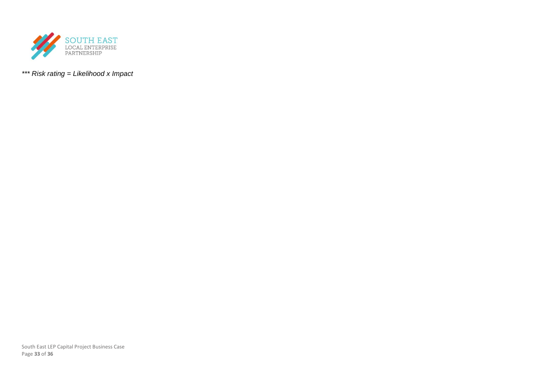

*\*\*\* Risk rating = Likelihood x Impact*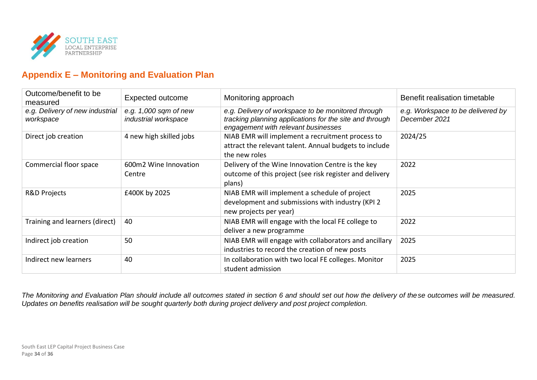

## **Appendix E – Monitoring and Evaluation Plan**

| Outcome/benefit to be<br>measured            | <b>Expected outcome</b>                       | Monitoring approach                                                                                                                                  | Benefit realisation timetable                      |
|----------------------------------------------|-----------------------------------------------|------------------------------------------------------------------------------------------------------------------------------------------------------|----------------------------------------------------|
| e.g. Delivery of new industrial<br>workspace | e.g. 1,000 sqm of new<br>industrial workspace | e.g. Delivery of workspace to be monitored through<br>tracking planning applications for the site and through<br>engagement with relevant businesses | e.g. Workspace to be delivered by<br>December 2021 |
| Direct job creation                          | 4 new high skilled jobs                       | NIAB EMR will implement a recruitment process to<br>attract the relevant talent. Annual budgets to include<br>the new roles                          | 2024/25                                            |
| Commercial floor space                       | 600m2 Wine Innovation<br>Centre               | Delivery of the Wine Innovation Centre is the key<br>outcome of this project (see risk register and delivery<br>plans)                               | 2022                                               |
| <b>R&amp;D Projects</b>                      | £400K by 2025                                 | NIAB EMR will implement a schedule of project<br>development and submissions with industry (KPI 2<br>new projects per year)                          | 2025                                               |
| Training and learners (direct)               | 40                                            | NIAB EMR will engage with the local FE college to<br>deliver a new programme                                                                         | 2022                                               |
| Indirect job creation                        | 50                                            | NIAB EMR will engage with collaborators and ancillary<br>industries to record the creation of new posts                                              | 2025                                               |
| Indirect new learners                        | 40                                            | In collaboration with two local FE colleges. Monitor<br>student admission                                                                            | 2025                                               |

*The Monitoring and Evaluation Plan should include all outcomes stated in section 6 and should set out how the delivery of these outcomes will be measured. Updates on benefits realisation will be sought quarterly both during project delivery and post project completion.*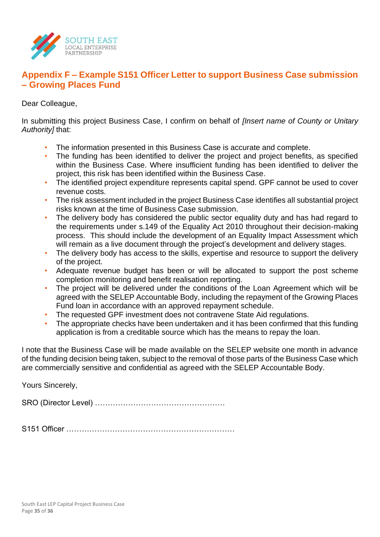

## **Appendix F – Example S151 Officer Letter to support Business Case submission – Growing Places Fund**

Dear Colleague,

In submitting this project Business Case, I confirm on behalf of *[Insert name of County or Unitary Authority]* that:

- The information presented in this Business Case is accurate and complete.
- The funding has been identified to deliver the project and project benefits, as specified within the Business Case. Where insufficient funding has been identified to deliver the project, this risk has been identified within the Business Case.
- The identified project expenditure represents capital spend. GPF cannot be used to cover revenue costs.
- The risk assessment included in the project Business Case identifies all substantial project risks known at the time of Business Case submission.
- The delivery body has considered the public sector equality duty and has had regard to the requirements under s.149 of the Equality Act 2010 throughout their decision-making process. This should include the development of an Equality Impact Assessment which will remain as a live document through the project's development and delivery stages.
- The delivery body has access to the skills, expertise and resource to support the delivery of the project.
- Adequate revenue budget has been or will be allocated to support the post scheme completion monitoring and benefit realisation reporting.
- The project will be delivered under the conditions of the Loan Agreement which will be agreed with the SELEP Accountable Body, including the repayment of the Growing Places Fund loan in accordance with an approved repayment schedule.
- The requested GPF investment does not contravene State Aid regulations.
- The appropriate checks have been undertaken and it has been confirmed that this funding application is from a creditable source which has the means to repay the loan.

I note that the Business Case will be made available on the SELEP website one month in advance of the funding decision being taken, subject to the removal of those parts of the Business Case which are commercially sensitive and confidential as agreed with the SELEP Accountable Body.

Yours Sincerely,

SRO (Director Level) ……………………………………………

S151 Officer …………………………………………………………